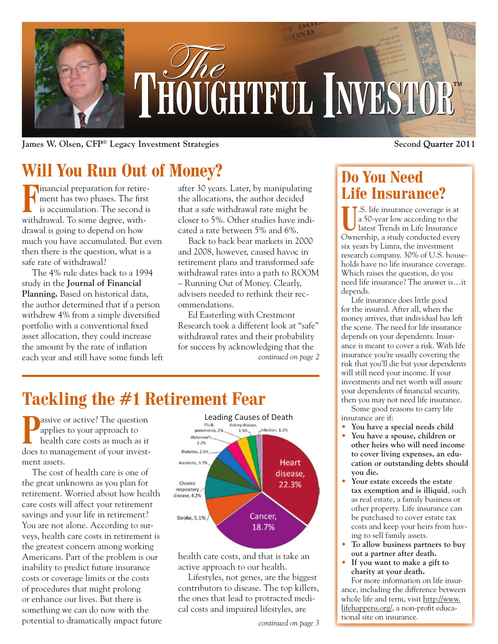

**James W. Olsen, CFP<sup>®</sup> Legacy Investment Strategies** 

# **Will You Run Out of Money?**

**F**inancial preparation for retire-<br>is accumulation. The second is ment has two phases. The first is accumulation. The second is withdrawal. To some degree, withdrawal is going to depend on how much you have accumulated. But even then there is the question, what is a safe rate of withdrawal?

The 4% rule dates back to a 1994 study in the **Journal of Financial Planning.** Based on historical data, the author determined that if a person withdrew 4% from a simple diversified portfolio with a conventional fixed asset allocation, they could increase the amount by the rate of inflation each year and still have some funds left after 30 years. Later, by manipulating the allocations, the author decided that a safe withdrawal rate might be closer to 5%. Other studies have indicated a rate between 5% and 6%.

Back to back bear markets in 2000 and 2008, however, caused havoc in retirement plans and transformed safe withdrawal rates into a path to ROOM – Running Out of Money. Clearly, advisers needed to rethink their recommendations.

Ed Easterling with Crestmont Research took a different look at "safe" withdrawal rates and their probability for success by acknowledging that the *continued on page 2*

# **Tackling the #1 Retirement Fear**

**P**assive or active? The question applies to your approach to health care costs as much as it does to management of your investment assets.

The cost of health care is one of the great unknowns as you plan for retirement. Worried about how health care costs will affect your retirement savings and your life in retirement? You are not alone. According to surveys, health care costs in retirement is the greatest concern among working Americans. Part of the problem is our inability to predict future insurance costs or coverage limits or the costs of procedures that might prolong or enhance our lives. But there is something we can do now with the potential to dramatically impact future



health care costs, and that is take an active approach to our health.

Lifestyles, not genes, are the biggest contributors to disease. The top killers, the ones that lead to protracted medical costs and impaired lifestyles, are

**Second Quarter 2011** 

## **Do You Need Life Insurance?**

U.S. life insurance coverage is at<br>a 50-year low according to the<br>latest Trends in Life Insurance a 50-year low according to the latest Trends in Life Insurance Ownership, a study conducted every six years by Limra, the investment research company. 30% of U.S. households have no life insurance coverage. Which raises the question, do you need life insurance? The answer is…it depends.

Life insurance does little good for the insured. After all, when the money arrives, that individual has left the scene. The need for life insurance depends on your dependents. Insurance is meant to cover a risk. With life insurance you're usually covering the risk that you'll die but your dependents will still need your income. If your investments and net worth will assure your dependents of financial security, then you may not need life insurance.

Some good reasons to carry life insurance are if:

- **You have a special needs child**
- **You have a spouse, children or other heirs who will need income to cover living expenses, an education or outstanding debts should you die.**
- **Your estate exceeds the estate tax exemption and is illiquid**, such as real estate, a family business or other property. Life insurance can be purchased to cover estate tax costs and keep your heirs from having to sell family assets.
- **To allow business partners to buy out a partner after death.**
- **If you want to make a gift to charity at your death.**

For more information on life insurance, including the difference between whole life and term, visit http://www. lifehappens.org/, a non-profit educational site on insurance.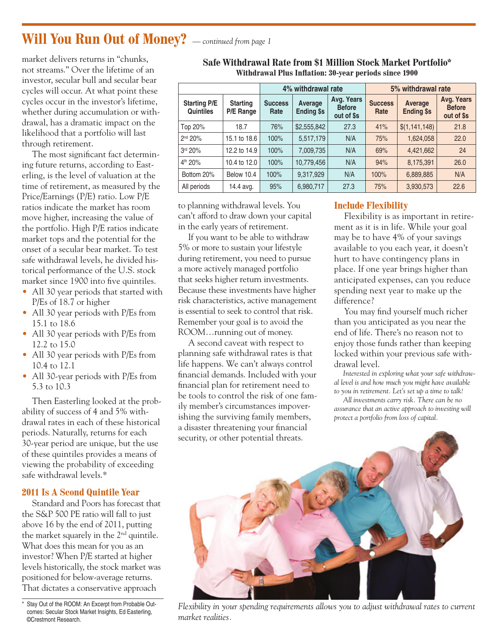## **Will You Run Out of Money?** *— continued from page 1*

market delivers returns in "chunks, not streams." Over the lifetime of an investor, secular bull and secular bear cycles will occur. At what point these cycles occur in the investor's lifetime, whether during accumulation or withdrawal, has a dramatic impact on the likelihood that a portfolio will last through retirement.

The most significant fact determining future returns, according to Easterling, is the level of valuation at the time of retirement, as measured by the Price/Earnings (P/E) ratio. Low P/E ratios indicate the market has room move higher, increasing the value of the portfolio. High P/E ratios indicate market tops and the potential for the onset of a secular bear market. To test safe withdrawal levels, he divided historical performance of the U.S. stock market since 1900 into five quintiles.

- All 30 year periods that started with P/Es of 18.7 or higher
- All 30 year periods with P/Es from 15.1 to 18.6
- All 30 year periods with P/Es from 12.2 to 15.0
- All 30 year periods with P/Es from 10.4 to 12.1
- All 30-year periods with P/Es from 5.3 to 10.3

Then Easterling looked at the probability of success of 4 and 5% withdrawal rates in each of these historical periods. Naturally, returns for each 30-year period are unique, but the use of these quintiles provides a means of viewing the probability of exceeding safe withdrawal levels.\*

#### **2011 Is A Scond Quintile Year**

Standard and Poors has forecast that the S&P 500 PE ratio will fall to just above 16 by the end of 2011, putting the market squarely in the 2nd quintile. What does this mean for you as an investor? When P/E started at higher levels historically, the stock market was positioned for below-average returns. That dictates a conservative approach

|                                         |                              | 4% withdrawal rate     |                              |                                           | 5% withdrawal rate     |                              |                                           |
|-----------------------------------------|------------------------------|------------------------|------------------------------|-------------------------------------------|------------------------|------------------------------|-------------------------------------------|
| <b>Starting P/E</b><br><b>Quintiles</b> | <b>Starting</b><br>P/E Range | <b>Success</b><br>Rate | Average<br><b>Ending \$s</b> | Avg. Years<br><b>Before</b><br>out of \$s | <b>Success</b><br>Rate | Average<br><b>Ending \$s</b> | Avg. Years<br><b>Before</b><br>out of \$s |
| Top 20%                                 | 18.7                         | 76%                    | \$2,555,842                  | 27.3                                      | 41%                    | \$(1,141,148)                | 21.8                                      |
| 2 <sup>nd</sup> 20%                     | 15.1 to 18.6                 | 100%                   | 5,517,179                    | N/A                                       | 75%                    | 1,624,058                    | 22.0                                      |
| 3rd 20%                                 | 12.2 to 14.9                 | 100%                   | 7,009,735                    | N/A                                       | 69%                    | 4,421,662                    | 24                                        |
| 4 <sup>th</sup> 20%                     | 10.4 to 12.0                 | 100%                   | 10,779,456                   | N/A                                       | 94%                    | 8,175,391                    | 26.0                                      |
| Bottom 20%                              | Below 10.4                   | 100%                   | 9,317,929                    | N/A                                       | 100%                   | 6,889,885                    | N/A                                       |
| All periods                             | 14.4 avg.                    | 95%                    | 6,980,717                    | 27.3                                      | 75%                    | 3,930,573                    | 22.6                                      |

**Safe Withdrawal Rate from \$1 Million Stock Market Portfolio\* Withdrawal Plus Inflation: 30-year periods since 1900**

to planning withdrawal levels. You can't afford to draw down your capital in the early years of retirement.

If you want to be able to withdraw 5% or more to sustain your lifestyle during retirement, you need to pursue a more actively managed portfolio that seeks higher return investments. Because these investments have higher risk characteristics, active management is essential to seek to control that risk. Remember your goal is to avoid the ROOM…running out of money.

A second caveat with respect to planning safe withdrawal rates is that life happens. We can't always control financial demands. Included with your financial plan for retirement need to be tools to control the risk of one family member's circumstances impoverishing the surviving family members, a disaster threatening your financial security, or other potential threats.

#### **Include Flexibility**

Flexibility is as important in retirement as it is in life. While your goal may be to have 4% of your savings available to you each year, it doesn't hurt to have contingency plans in place. If one year brings higher than anticipated expenses, can you reduce spending next year to make up the difference?

You may find yourself much richer than you anticipated as you near the end of life. There's no reason not to enjoy those funds rather than keeping locked within your previous safe withdrawal level.

*Interested in exploring what your safe withdrawal level is and how much you might have available to you in retirement. Let's set up a time to talk!*

*All investments carry risk. There can be no assurance that an active approach to investing will protect a portfolio from loss of capital.*



*Flexibility in your spending requirements allows you to adjust withdrawal rates to current market realities.*

<sup>\*</sup> Stay Out of the ROOM: An Excerpt from Probable Outcomes: Secular Stock Market Insights, Ed Easterling, ©Crestmont Research.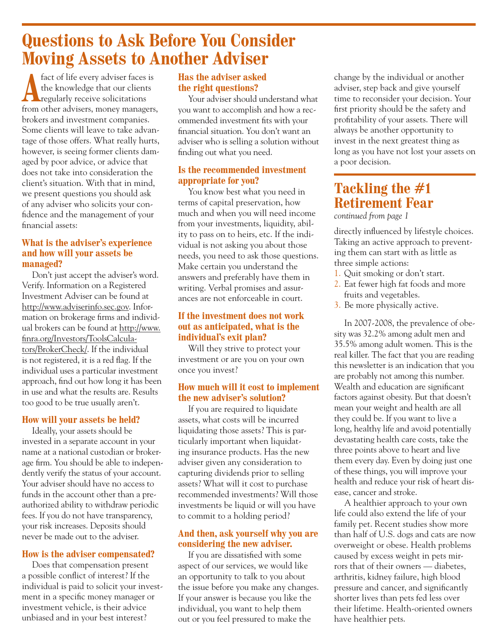## **Questions to Ask Before You Consider Moving Assets to Another Adviser**

**A** fact of life every adviser faces is<br>the knowledge that our clients<br>regularly receive solicitations the knowledge that our clients from other advisers, money managers, brokers and investment companies. Some clients will leave to take advantage of those offers. What really hurts, however, is seeing former clients damaged by poor advice, or advice that does not take into consideration the client's situation. With that in mind, we present questions you should ask of any adviser who solicits your confidence and the management of your financial assets:

#### **What is the adviser's experience and how will your assets be managed?**

Don't just accept the adviser's word. Verify. Information on a Registered Investment Adviser can be found at http://www.adviserinfo.sec.gov. Information on brokerage firms and individual brokers can be found at http://www. finra.org/Investors/ToolsCalculators/BrokerCheck/. If the individual is not registered, it is a red flag. If the individual uses a particular investment approach, find out how long it has been in use and what the results are. Results too good to be true usually aren't.

#### **How will your assets be held?**

Ideally, your assets should be invested in a separate account in your name at a national custodian or brokerage firm. You should be able to independently verify the status of your account. Your adviser should have no access to funds in the account other than a preauthorized ability to withdraw periodic fees. If you do not have transparency, your risk increases. Deposits should never be made out to the adviser.

#### **How is the adviser compensated?**

Does that compensation present a possible conflict of interest? If the individual is paid to solicit your investment in a specific money manager or investment vehicle, is their advice unbiased and in your best interest?

#### **Has the adviser asked the right questions?**

Your adviser should understand what you want to accomplish and how a recommended investment fits with your financial situation. You don't want an adviser who is selling a solution without finding out what you need.

#### **Is the recommended investment appropriate for you?**

You know best what you need in terms of capital preservation, how much and when you will need income from your investments, liquidity, ability to pass on to heirs, etc. If the individual is not asking you about those needs, you need to ask those questions. Make certain you understand the answers and preferably have them in writing. Verbal promises and assurances are not enforceable in court.

#### **If the investment does not work out as anticipated, what is the individual's exit plan?**

Will they strive to protect your investment or are you on your own once you invest?

#### **How much will it cost to implement the new adviser's solution?**

If you are required to liquidate assets, what costs will be incurred liquidating those assets? This is particularly important when liquidating insurance products. Has the new adviser given any consideration to capturing dividends prior to selling assets? What will it cost to purchase recommended investments? Will those investments be liquid or will you have to commit to a holding period?

#### **And then, ask yourself why you are considering the new adviser.**

If you are dissatisfied with some aspect of our services, we would like an opportunity to talk to you about the issue before you make any changes. If your answer is because you like the individual, you want to help them out or you feel pressured to make the

change by the individual or another adviser, step back and give yourself time to reconsider your decision. Your first priority should be the safety and profitability of your assets. There will always be another opportunity to invest in the next greatest thing as long as you have not lost your assets on a poor decision.

## **Tackling the #1 Retirement Fear**

*continued from page 1*

directly influenced by lifestyle choices. Taking an active approach to preventing them can start with as little as three simple actions:

- 1. Quit smoking or don't start.
- 2. Eat fewer high fat foods and more fruits and vegetables.
- 3. Be more physically active.

In 2007-2008, the prevalence of obesity was 32.2% among adult men and 35.5% among adult women. This is the real killer. The fact that you are reading this newsletter is an indication that you are probably not among this number. Wealth and education are significant factors against obesity. But that doesn't mean your weight and health are all they could be. If you want to live a long, healthy life and avoid potentially devastating health care costs, take the three points above to heart and live them every day. Even by doing just one of these things, you will improve your health and reduce your risk of heart disease, cancer and stroke.

A healthier approach to your own life could also extend the life of your family pet. Recent studies show more than half of U.S. dogs and cats are now overweight or obese. Health problems caused by excess weight in pets mirrors that of their owners — diabetes, arthritis, kidney failure, high blood pressure and cancer, and significantly shorter lives than pets fed less over their lifetime. Health-oriented owners have healthier pets.